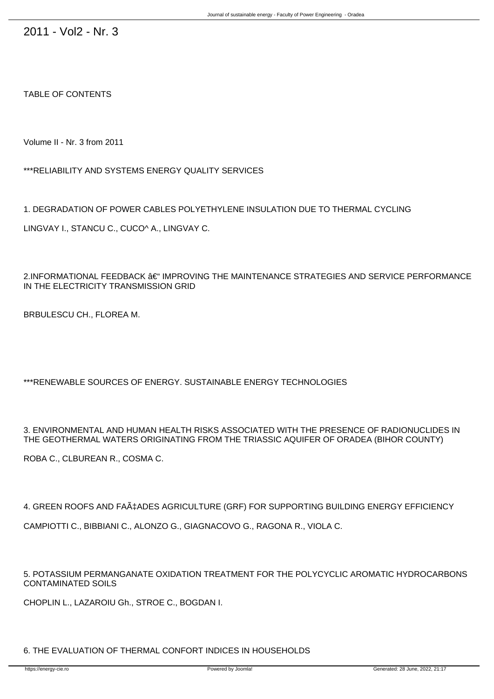2011 - Vol2 - Nr. 3

TABLE OF CONTENTS

Volume II - Nr. 3 from 2011

\*\*\*RELIABILITY AND SYSTEMS ENERGY QUALITY SERVICES

1. DEGRADATION OF POWER CABLES POLYETHYLENE INSULATION DUE TO THERMAL CYCLING

LINGVAY I., STANCU C., CUCO^ A., LINGVAY C.

 $2.$ INFORMATIONAL FEEDBACK  $â$  $<sup>4</sup>$  IMPROVING THE MAINTENANCE STRATEGIES AND SERVICE PERFORMANCE</sup> IN THE ELECTRICITY TRANSMISSION GRID

B-RBULESCU CH., FLOREA M.

\*\*\*RENEWABLE SOURCES OF ENERGY. SUSTAINABLE ENERGY TECHNOLOGIES

3. ENVIRONMENTAL AND HUMAN HEALTH RISKS ASSOCIATED WITH THE PRESENCE OF RADIONUCLIDES IN THE GEOTHERMAL WATERS ORIGINATING FROM THE TRIASSIC AQUIFER OF ORADEA (BIHOR COUNTY)

ROBA C., C-LBUREAN R., COSMA C.

4. GREEN ROOFS AND FAA+ADES AGRICULTURE (GRF) FOR SUPPORTING BUILDING ENERGY EFFICIENCY CAMPIOTTI C., BIBBIANI C., ALONZO G., GIAGNACOVO G., RAGONA R., VIOLA C.

5. POTASSIUM PERMANGANATE OXIDATION TREATMENT FOR THE POLYCYCLIC AROMATIC HYDROCARBONS CONTAMINATED SOILS

CHOPLIN L., LAZAROIU Gh., STROE C., BOGDAN I.

6. THE EVALUATION OF THERMAL CONFORT INDICES IN HOUSEHOLDS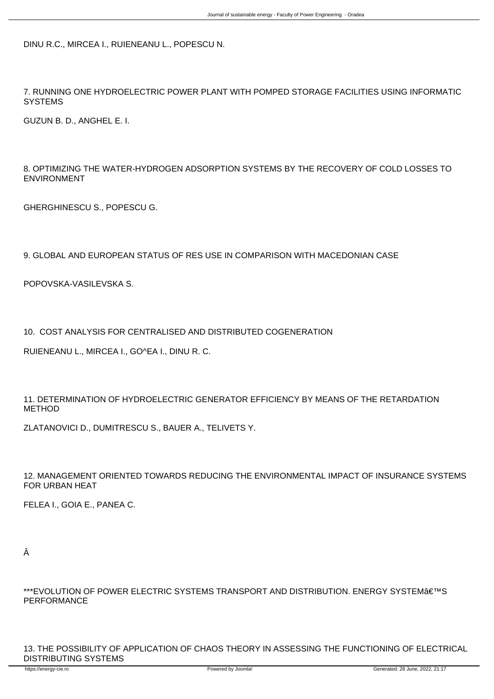DINU R.C., MIRCEA I., RUIENEANU L., POPESCU N.

7. RUNNING ONE HYDROELECTRIC POWER PLANT WITH POMPED STORAGE FACILITIES USING INFORMATIC **SYSTEMS** 

GUZUN B. D., ANGHEL E. I.

8. OPTIMIZING THE WATER-HYDROGEN ADSORPTION SYSTEMS BY THE RECOVERY OF COLD LOSSES TO ENVIRONMENT

GHERGHINESCU S., POPESCU G.

9. GLOBAL AND EUROPEAN STATUS OF RES USE IN COMPARISON WITH MACEDONIAN CASE

POPOVSKA-VASILEVSKA S.

10. COST ANALYSIS FOR CENTRALISED AND DISTRIBUTED COGENERATION

RUIENEANU L., MIRCEA I., GO^EA I., DINU R. C.

11. DETERMINATION OF HYDROELECTRIC GENERATOR EFFICIENCY BY MEANS OF THE RETARDATION METHOD

ZLATANOVICI D., DUMITRESCU S., BAUER A., TELIVETS Y.

12. MANAGEMENT ORIENTED TOWARDS REDUCING THE ENVIRONMENTAL IMPACT OF INSURANCE SYSTEMS FOR URBAN HEAT

FELEA I., GOIA E., PANEA C.

\*\*\*EVOLUTION OF POWER ELECTRIC SYSTEMS TRANSPORT AND DISTRIBUTION. ENERGY SYSTEMÂ ETMS PERFORMANCE

13. THE POSSIBILITY OF APPLICATION OF CHAOS THEORY IN ASSESSING THE FUNCTIONING OF ELECTRICAL DISTRIBUTING SYSTEMS

Â